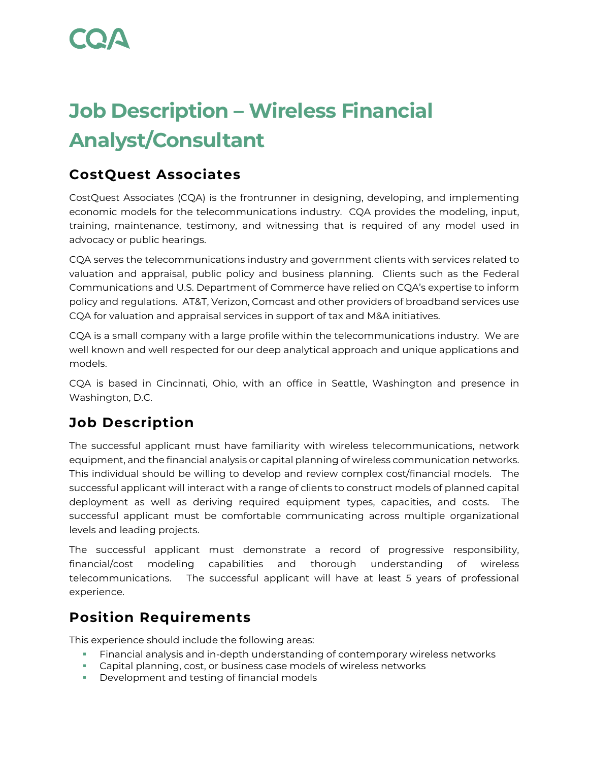# **Job Description – Wireless Financial Analyst/Consultant**

### **CostQuest Associates**

CostQuest Associates (CQA) is the frontrunner in designing, developing, and implementing economic models for the telecommunications industry. CQA provides the modeling, input, training, maintenance, testimony, and witnessing that is required of any model used in advocacy or public hearings.

CQA serves the telecommunications industry and government clients with services related to valuation and appraisal, public policy and business planning. Clients such as the Federal Communications and U.S. Department of Commerce have relied on CQA's expertise to inform policy and regulations. AT&T, Verizon, Comcast and other providers of broadband services use CQA for valuation and appraisal services in support of tax and M&A initiatives.

CQA is a small company with a large profile within the telecommunications industry. We are well known and well respected for our deep analytical approach and unique applications and models.

CQA is based in Cincinnati, Ohio, with an office in Seattle, Washington and presence in Washington, D.C.

## **Job Description**

The successful applicant must have familiarity with wireless telecommunications, network equipment, and the financial analysis or capital planning of wireless communication networks. This individual should be willing to develop and review complex cost/financial models. The successful applicant will interact with a range of clients to construct models of planned capital deployment as well as deriving required equipment types, capacities, and costs. The successful applicant must be comfortable communicating across multiple organizational levels and leading projects.

The successful applicant must demonstrate a record of progressive responsibility, financial/cost modeling capabilities and thorough understanding of wireless telecommunications. The successful applicant will have at least 5 years of professional experience.

## **Position Requirements**

This experience should include the following areas:

- Financial analysis and in-depth understanding of contemporary wireless networks
- Capital planning, cost, or business case models of wireless networks
- Development and testing of financial models